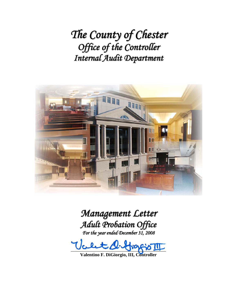*The County of Chester Office of the Controller Internal Audit Department*



## *Management Letter Adult Probation Office For the year ended December 31, 2008*

 $\bigoplus_1 P$ 

**Valentino F. DiGiorgio, III, Controller**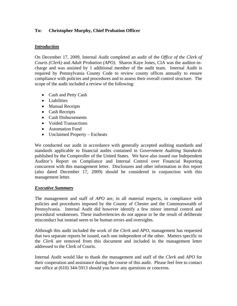## **To: Christopher Murphy, Chief Probation Officer**

## *Introduction*

On December 17, 2009, Internal Audit completed an audit of the *Office of the Clerk of Courts (Clerk)* and *Adult Probation (APO).* Sharon Kaye Jones, CIA was the auditor-incharge and was assisted by 1 additional member of the audit team. Internal Audit is required by Pennsylvania County Code to review county offices annually to ensure compliance with policies and procedures and to assess their overall control structure. The scope of the audit included a review of the following:

- Cash and Petty Cash
- Liabilities
- Manual Receipts
- Cash Receipts
- Cash Disbursements
- Voided Transactions
- Automation Fund
- Unclaimed Property Escheats

We conducted our audit in accordance with generally accepted auditing standards and standards applicable to financial audits contained in *Government Auditing Standards* published by the Comptroller of the United States. We have also issued our Independent Auditor's Report on Compliance and Internal Control over Financial Reporting concurrent with this management letter. Disclosures and other information in this report (also dated December 17, 2009) should be considered in conjunction with this management letter.

## *Executive Summary*

The management and staff of *APO* are, in all material respects, in compliance with policies and procedures imposed by the County of Chester and the Commonwealth of Pennsylvania. Internal Audit did however identify a few minor internal control and procedural weaknesses. These inadvertencies do not appear to be the result of deliberate misconduct but instead seem to be human errors and oversights.

Although this audit included the work of the *Clerk* and *APO,* management has requested that two separate reports be issued, each one independent of the other. Matters specific to the *Clerk* are removed from this document and included in the management letter addressed to the Clerk of Courts.

Internal Audit would like to thank the management and staff of the *Clerk* and *APO* for their cooperation and assistance during the course of this audit. Please feel free to contact our office at (610) 344-5913 should you have any questions or concerns.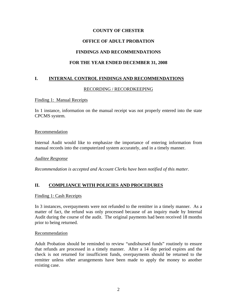## **OFFICE OF ADULT PROBATION**

## **FINDINGS AND RECOMMENDATIONS**

## **FOR THE YEAR ENDED DECEMBER 31, 2008**

## **I. INTERNAL CONTROL FINDINGS AND RECOMMENDATIONS**

### RECORDING / RECORDKEEPING

#### Finding 1: Manual Receipts

In 1 instance, information on the manual receipt was not properly entered into the state CPCMS system.

#### Recommendation

Internal Audit would like to emphasize the importance of entering information from manual records into the computerized system accurately, and in a timely manner.

#### *Auditee Response*

*Recommendation is accepted and Account Clerks have been notified of this matter.* 

## **II. COMPLIANCE WITH POLICIES AND PROCEDURES**

#### Finding 1: Cash Receipts

In 3 instances, overpayments were not refunded to the remitter in a timely manner. As a matter of fact, the refund was only processed because of an inquiry made by Internal Audit during the course of the audit. The original payments had been received 18 months prior to being returned.

#### Recommendation

Adult Probation should be reminded to review "undisbursed funds" routinely to ensure that refunds are processed in a timely manner. After a 14 day period expires and the check is not returned for insufficient funds, overpayments should be returned to the remitter unless other arrangements have been made to apply the money to another existing case.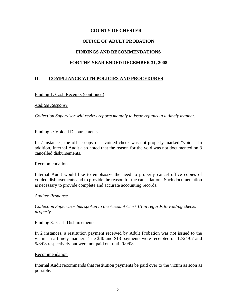# **COUNTY OF CHESTER OFFICE OF ADULT PROBATION FINDINGS AND RECOMMENDATIONS FOR THE YEAR ENDED DECEMBER 31, 2008**

## **II. COMPLIANCE WITH POLICIES AND PROCEDURES**

### Finding 1: Cash Receipts (continued)

#### *Auditee Response*

*Collection Supervisor will review reports monthly to issue refunds in a timely manner.* 

#### Finding 2: Voided Disbursements

In 7 instances, the office copy of a voided check was not properly marked "void". In addition, Internal Audit also noted that the reason for the void was not documented on 3 cancelled disbursements.

#### Recommendation

Internal Audit would like to emphasize the need to properly cancel office copies of voided disbursements and to provide the reason for the cancellation. Such documentation is necessary to provide complete and accurate accounting records.

#### *Auditee Response*

*Collection Supervisor has spoken to the Account Clerk III in regards to voiding checks properly.* 

#### Finding 3: Cash Disbursements

In 2 instances, a restitution payment received by Adult Probation was not issued to the victim in a timely manner. The \$40 and \$13 payments were receipted on 12/24/07 and 5/8/08 respectively but were not paid out until 9/9/08.

#### Recommendation

Internal Audit recommends that restitution payments be paid over to the victim as soon as possible.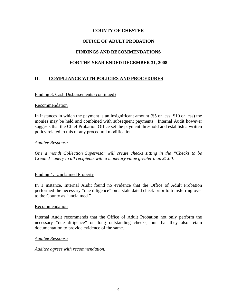### **OFFICE OF ADULT PROBATION**

### **FINDINGS AND RECOMMENDATIONS**

### **FOR THE YEAR ENDED DECEMBER 31, 2008**

## **II. COMPLIANCE WITH POLICIES AND PROCEDURES**

#### Finding 3: Cash Disbursements (continued)

#### Recommendation

In instances in which the payment is an insignificant amount (\$5 or less; \$10 or less) the monies may be held and combined with subsequent payments. Internal Audit however suggests that the Chief Probation Office set the payment threshold and establish a written policy related to this or any procedural modification.

#### *Auditee Response*

*One a month Collection Supervisor will create checks sitting in the "Checks to be Created" query to all recipients with a monetary value greater than \$1.00.* 

#### Finding 4: Unclaimed Property

In 1 instance, Internal Audit found no evidence that the Office of Adult Probation performed the necessary "due diligence" on a stale dated check prior to transferring over to the County as "unclaimed."

#### Recommendation

Internal Audit recommends that the Office of Adult Probation not only perform the necessary "due diligence" on long outstanding checks, but that they also retain documentation to provide evidence of the same.

#### *Auditee Response*

*Auditee agrees with recommendation.*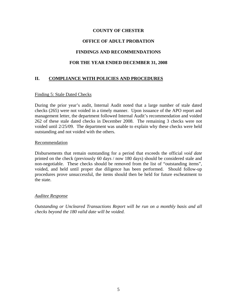## **OFFICE OF ADULT PROBATION**

## **FINDINGS AND RECOMMENDATIONS**

## **FOR THE YEAR ENDED DECEMBER 31, 2008**

## **II. COMPLIANCE WITH POLICIES AND PROCEDURES**

### Finding 5: Stale Dated Checks

During the prior year's audit, Internal Audit noted that a large number of stale dated checks (265) were not voided in a timely manner. Upon issuance of the APO report and management letter, the department followed Internal Audit's recommendation and voided 262 of these stale dated checks in December 2008. The remaining 3 checks were not voided until 2/25/09. The department was unable to explain why these checks were held outstanding and not voided with the others.

#### Recommendation

Disbursements that remain outstanding for a period that exceeds the official *void date* printed on the check (previously 60 days / now 180 days) should be considered stale and non-negotiable. These checks should be removed from the list of "outstanding items", voided, and held until proper due diligence has been performed. Should follow-up procedures prove unsuccessful, the items should then be held for future escheatment to the state.

#### *Auditee Response*

*Outstanding or Uncleared Transactions Report will be run on a monthly basis and all checks beyond the 180 valid date will be voided.*